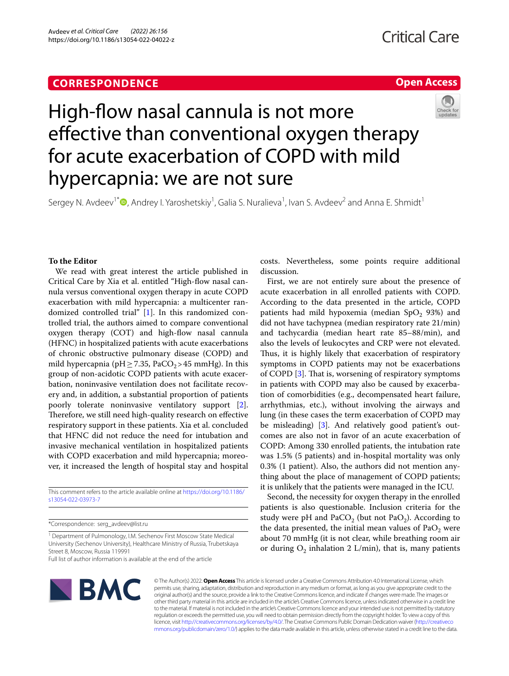# **CORRESPONDENCE**

# **Open Access**



# High-fow nasal cannula is not more effective than conventional oxygen therapy for acute exacerbation of COPD with mild hypercapnia: we are not sure

Sergey N. Avdeev<sup>1\*</sup><sup>®</sup>[,](http://orcid.org/0000-0002-5999-2150) Andrey I. Yaroshetskiy<sup>1</sup>, Galia S. Nuralieva<sup>1</sup>, Ivan S. Avdeev<sup>2</sup> and Anna E. Shmidt<sup>1</sup>

# **To the Editor**

We read with great interest the article published in Critical Care by Xia et al. entitled "High-fow nasal cannula versus conventional oxygen therapy in acute COPD exacerbation with mild hypercapnia: a multicenter randomized controlled trial" [[1\]](#page-1-0). In this randomized controlled trial, the authors aimed to compare conventional oxygen therapy (COT) and high-flow nasal cannula (HFNC) in hospitalized patients with acute exacerbations of chronic obstructive pulmonary disease (COPD) and mild hypercapnia (pH  $\geq$  7.35, PaCO<sub>2</sub>>45 mmHg). In this group of non-acidotic COPD patients with acute exacerbation, noninvasive ventilation does not facilitate recovery and, in addition, a substantial proportion of patients poorly tolerate noninvasive ventilatory support [\[2](#page-1-1)]. Therefore, we still need high-quality research on effective respiratory support in these patients. Xia et al. concluded that HFNC did not reduce the need for intubation and invasive mechanical ventilation in hospitalized patients with COPD exacerbation and mild hypercapnia; moreover, it increased the length of hospital stay and hospital

This comment refers to the article available online at [https://doi.org/10.1186/](https://doi.org/10.1186/s13054-022-03973-7) [s13054-022-03973-7](https://doi.org/10.1186/s13054-022-03973-7)

\*Correspondence: serg\_avdeev@list.ru

<sup>1</sup> Department of Pulmonology, I.M. Sechenov First Moscow State Medical University (Sechenov University), Healthcare Ministry of Russia, Trubetskaya Street 8, Moscow, Russia 119991 Full list of author information is available at the end of the article

costs. Nevertheless, some points require additional discussion.

First, we are not entirely sure about the presence of acute exacerbation in all enrolled patients with COPD. According to the data presented in the article, COPD patients had mild hypoxemia (median  $SpO<sub>2</sub> 93%)$  and did not have tachypnea (median respiratory rate 21/min) and tachycardia (median heart rate 85–88/min), and also the levels of leukocytes and CRP were not elevated. Thus, it is highly likely that exacerbation of respiratory symptoms in COPD patients may not be exacerbations of COPD [\[3](#page-1-2)]. That is, worsening of respiratory symptoms in patients with COPD may also be caused by exacerbation of comorbidities (e.g., decompensated heart failure, arrhythmias, etc.), without involving the airways and lung (in these cases the term exacerbation of COPD may be misleading) [[3\]](#page-1-2). And relatively good patient's outcomes are also not in favor of an acute exacerbation of COPD: Among 330 enrolled patients, the intubation rate was 1.5% (5 patients) and in-hospital mortality was only 0.3% (1 patient). Also, the authors did not mention anything about the place of management of COPD patients; it is unlikely that the patients were managed in the ICU.

Second, the necessity for oxygen therapy in the enrolled patients is also questionable. Inclusion criteria for the study were pH and PaCO<sub>2</sub> (but not PaO<sub>2</sub>). According to the data presented, the initial mean values of  $PaO<sub>2</sub>$  were about 70 mmHg (it is not clear, while breathing room air or during  $O_2$  inhalation 2 L/min), that is, many patients



© The Author(s) 2022. **Open Access** This article is licensed under a Creative Commons Attribution 4.0 International License, which permits use, sharing, adaptation, distribution and reproduction in any medium or format, as long as you give appropriate credit to the original author(s) and the source, provide a link to the Creative Commons licence, and indicate if changes were made. The images or other third party material in this article are included in the article's Creative Commons licence, unless indicated otherwise in a credit line to the material. If material is not included in the article's Creative Commons licence and your intended use is not permitted by statutory regulation or exceeds the permitted use, you will need to obtain permission directly from the copyright holder. To view a copy of this licence, visit [http://creativecommons.org/licenses/by/4.0/.](http://creativecommons.org/licenses/by/4.0/) The Creative Commons Public Domain Dedication waiver ([http://creativeco](http://creativecommons.org/publicdomain/zero/1.0/) [mmons.org/publicdomain/zero/1.0/](http://creativecommons.org/publicdomain/zero/1.0/)) applies to the data made available in this article, unless otherwise stated in a credit line to the data.